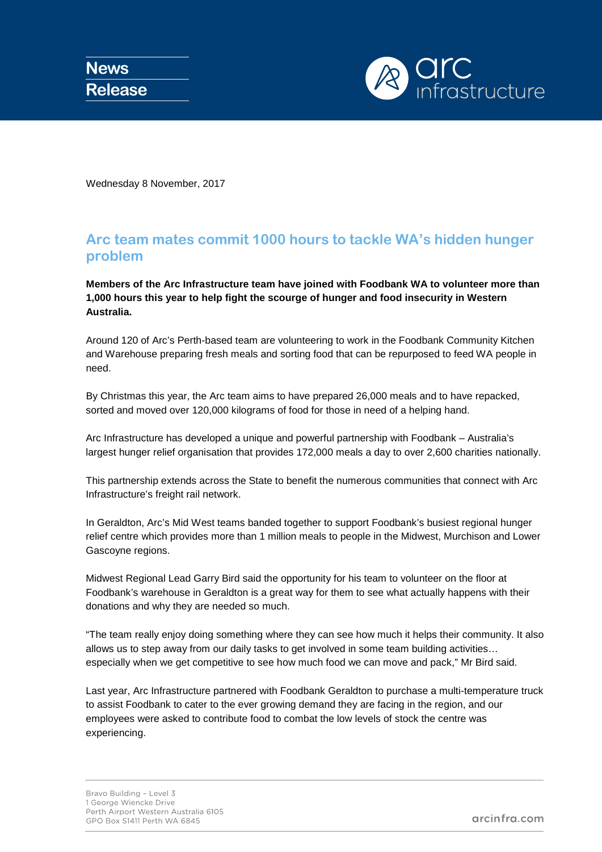

Wednesday 8 November, 2017

## **Arc team mates commit 1000 hours to tackle WA's hidden hunger problem**

**Members of the Arc Infrastructure team have joined with Foodbank WA to volunteer more than 1,000 hours this year to help fight the scourge of hunger and food insecurity in Western Australia.**

Around 120 of Arc's Perth-based team are volunteering to work in the Foodbank Community Kitchen and Warehouse preparing fresh meals and sorting food that can be repurposed to feed WA people in need.

By Christmas this year, the Arc team aims to have prepared 26,000 meals and to have repacked, sorted and moved over 120,000 kilograms of food for those in need of a helping hand.

Arc Infrastructure has developed a unique and powerful partnership with Foodbank – Australia's largest hunger relief organisation that provides 172,000 meals a day to over 2,600 charities nationally.

This partnership extends across the State to benefit the numerous communities that connect with Arc Infrastructure's freight rail network.

In Geraldton, Arc's Mid West teams banded together to support Foodbank's busiest regional hunger relief centre which provides more than 1 million meals to people in the Midwest, Murchison and Lower Gascoyne regions.

Midwest Regional Lead Garry Bird said the opportunity for his team to volunteer on the floor at Foodbank's warehouse in Geraldton is a great way for them to see what actually happens with their donations and why they are needed so much.

"The team really enjoy doing something where they can see how much it helps their community. It also allows us to step away from our daily tasks to get involved in some team building activities… especially when we get competitive to see how much food we can move and pack," Mr Bird said.

Last year, Arc Infrastructure partnered with Foodbank Geraldton to purchase a multi-temperature truck to assist Foodbank to cater to the ever growing demand they are facing in the region, and our employees were asked to contribute food to combat the low levels of stock the centre was experiencing.